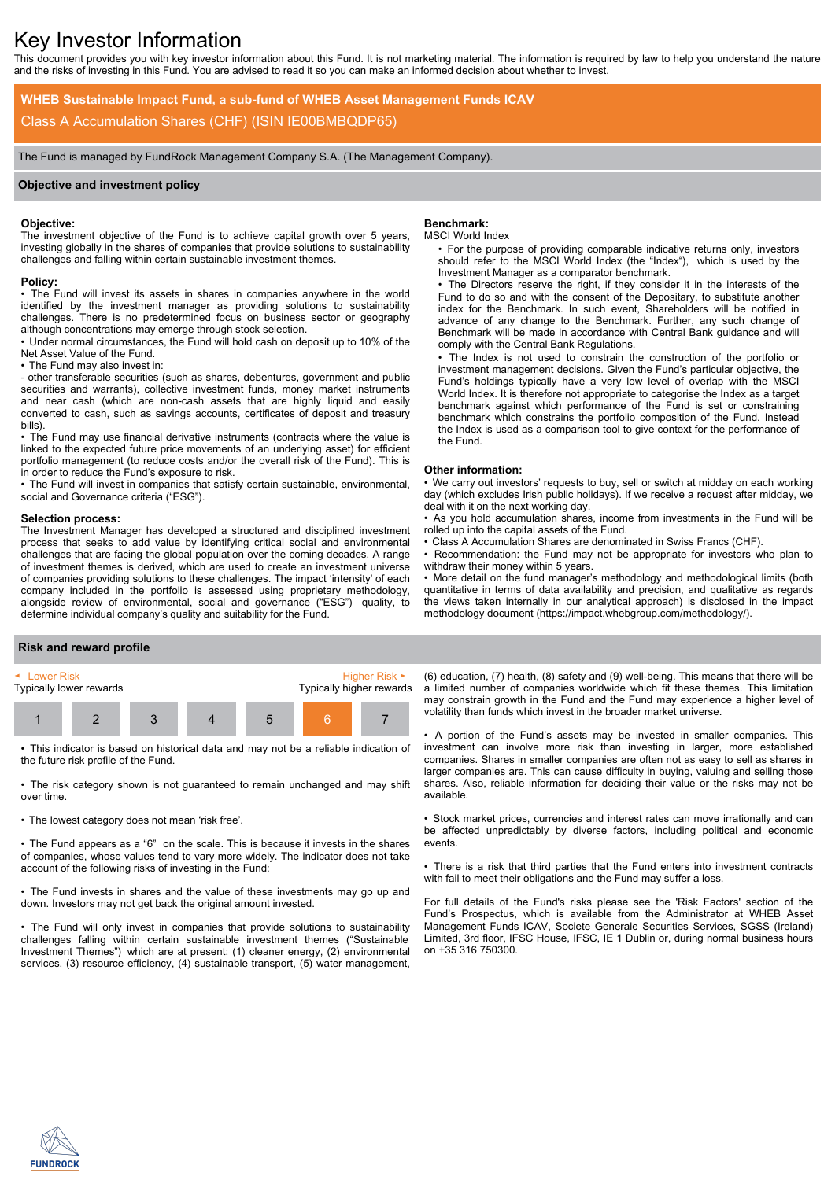# Key Investor Information

This document provides you with key investor information about this Fund. It is not marketing material. The information is required by law to help you understand the nature and the risks of investing in this Fund. You are advised to read it so you can make an informed decision about whether to invest.

**WHEB Sustainable Impact Fund, a sub-fund of WHEB Asset Management Funds ICAV** Class A Accumulation Shares (CHF) (ISIN IE00BMBQDP65)

The Fund is managed by FundRock Management Company S.A. (The Management Company).

# **Objective and investment policy**

# **Objective:**

The investment objective of the Fund is to achieve capital growth over 5 years, investing globally in the shares of companies that provide solutions to sustainability challenges and falling within certain sustainable investment themes.

## **Policy:**

• The Fund will invest its assets in shares in companies anywhere in the world identified by the investment manager as providing solutions to sustainability challenges. There is no predetermined focus on business sector or geography although concentrations may emerge through stock selection.

• Under normal circumstances, the Fund will hold cash on deposit up to 10% of the Net Asset Value of the Fund.

• The Fund may also invest in:

- other transferable securities (such as shares, debentures, government and public securities and warrants), collective investment funds, money market instruments and near cash (which are non-cash assets that are highly liquid and easily converted to cash, such as savings accounts, certificates of deposit and treasury bills).

• The Fund may use financial derivative instruments (contracts where the value is linked to the expected future price movements of an underlying asset) for efficient portfolio management (to reduce costs and/or the overall risk of the Fund). This is in order to reduce the Fund's exposure to risk.

• The Fund will invest in companies that satisfy certain sustainable, environmental, social and Governance criteria ("ESG").

#### **Selection process:**

The Investment Manager has developed a structured and disciplined investment process that seeks to add value by identifying critical social and environmental challenges that are facing the global population over the coming decades. A range of investment themes is derived, which are used to create an investment universe of companies providing solutions to these challenges. The impact 'intensity' of each company included in the portfolio is assessed using proprietary methodology, alongside review of environmental, social and governance ("ESG") quality, to determine individual company's quality and suitability for the Fund.

## **Benchmark:**

## MSCI World Index

• For the purpose of providing comparable indicative returns only, investors should refer to the MSCI World Index (the "Index"), which is used by the Investment Manager as a comparator benchmark.

• The Directors reserve the right, if they consider it in the interests of the Fund to do so and with the consent of the Depositary, to substitute another index for the Benchmark. In such event, Shareholders will be notified in advance of any change to the Benchmark. Further, any such change of Benchmark will be made in accordance with Central Bank guidance and will comply with the Central Bank Regulations.

• The Index is not used to constrain the construction of the portfolio or investment management decisions. Given the Fund's particular objective, the Fund's holdings typically have a very low level of overlap with the MSCI World Index. It is therefore not appropriate to categorise the Index as a target benchmark against which performance of the Fund is set or constraining benchmark which constrains the portfolio composition of the Fund. Instead the Index is used as a comparison tool to give context for the performance of the Fund.

#### **Other information:**

• We carry out investors' requests to buy, sell or switch at midday on each working day (which excludes Irish public holidays). If we receive a request after midday, we deal with it on the next working day.

• As you hold accumulation shares, income from investments in the Fund will be rolled up into the capital assets of the Fund.

• Class A Accumulation Shares are denominated in Swiss Francs (CHF).

Recommendation: the Fund may not be appropriate for investors who plan to withdraw their money within 5 years.

• More detail on the fund manager's methodology and methodological limits (both quantitative in terms of data availability and precision, and qualitative as regards the views taken internally in our analytical approach) is disclosed in the impact methodology document (https://impact.whebgroup.com/methodology/).

## **Risk and reward profile**



• This indicator is based on historical data and may not be a reliable indication of the future risk profile of the Fund.

• The risk category shown is not guaranteed to remain unchanged and may shift over time.

• The lowest category does not mean 'risk free'.

• The Fund appears as a "6" on the scale. This is because it invests in the shares of companies, whose values tend to vary more widely. The indicator does not take account of the following risks of investing in the Fund:

• The Fund invests in shares and the value of these investments may go up and down. Investors may not get back the original amount invested.

• The Fund will only invest in companies that provide solutions to sustainability challenges falling within certain sustainable investment themes ("Sustainable Investment Themes") which are at present: (1) cleaner energy, (2) environmental services, (3) resource efficiency, (4) sustainable transport, (5) water management,

(6) education, (7) health, (8) safety and (9) well-being. This means that there will be a limited number of companies worldwide which fit these themes. This limitation may constrain growth in the Fund and the Fund may experience a higher level of volatility than funds which invest in the broader market universe.

• A portion of the Fund's assets may be invested in smaller companies. This investment can involve more risk than investing in larger, more established companies. Shares in smaller companies are often not as easy to sell as shares in larger companies are. This can cause difficulty in buying, valuing and selling those shares. Also, reliable information for deciding their value or the risks may not be available.

• Stock market prices, currencies and interest rates can move irrationally and can be affected unpredictably by diverse factors, including political and economic events.

• There is a risk that third parties that the Fund enters into investment contracts with fail to meet their obligations and the Fund may suffer a loss.

For full details of the Fund's risks please see the 'Risk Factors' section of the Fund's Prospectus, which is available from the Administrator at WHEB Asset Management Funds ICAV, Societe Generale Securities Services, SGSS (Ireland) Limited, 3rd floor, IFSC House, IFSC, IE 1 Dublin or, during normal business hours on +35 316 750300.